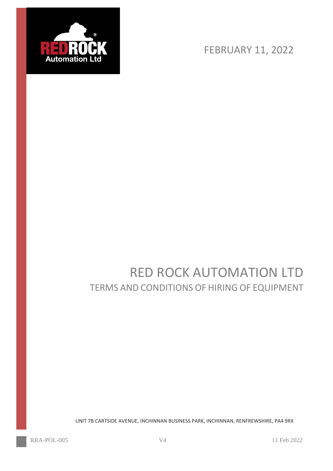

FEBRUARY 11, 2022

# RED ROCK AUTOMATION LTD TERMS AND CONDITIONS OF HIRING OF EQUIPMENT

UNIT 7B CARTSIDE AVENUE, INCHINNAN BUSINESS PARK, INCHINNAN, RENFREWSHIRE, PA4 9RX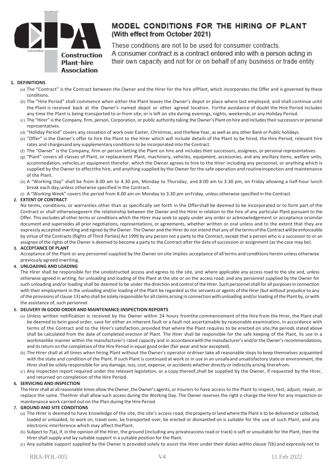

# MODEL CONDITIONS FOR THE HIRING OF PLANT (With effect from October 2021)

These conditions are not to be used for consumer contracts. A consumer contract is a contract entered into with a person acting in their own capacity and not for or on behalf of any business or trade entity.

# **1. DEFINITIONS**

- (a) The "Contract" is the Contract between the Owner and the Hirer for the hire ofPlant, which incorporates the Offer and is governed by these conditions.
- (b) The "Hire Period" shall commence when either the Plant leaves the Owner's depot or place where last employed; and shall continue until the Plant is received back at the Owner's named depot or other agreed location. Forthe avoidance of doubt the Hire Period includes any time the Plant is being transported to or from site; or is left on site during evenings, nights, weekends,or any Holiday Period.
- (c) The "Hirer" is the Company, firm, person, Corporation, or public authority taking the Owner's Plant on hire and includes their successors or personal representatives.
- (d) "Holiday Period" covers any cessation of work over Easter, Christmas, and theNew Year, as well as any other Bank or Public holidays.
- (e) "Offer" is the Owner's offer to hire the Plant to the Hirer which will include details of the Plant to be hired, the Hire Period, relevant hire rates and chargesand any supplementary conditions to be incorporated into the Contract.
- (f) The "Owner" is the Company, firm or person letting the Plant on hire and includes their successors, assignees, or personal representatives.
- (g) "Plant" covers all classes of Plant, or replacement Plant, machinery, vehicles, equipment, accessories, and any ancillary items, welfare units, accommodation, vehicles,or equipment therefor, which the Owner agrees to hire to the Hirer including any personnel, or anything which is supplied by the Owner to effectthe hire, and anything supplied by the Owner for the safe operation and routineinspection and maintenance of the Plant.
- (h) A "Working Day" shall be from 8.00 am to 4.30 pm, Monday to Thursday, and 8.00 am to 3.30 pm, on Friday allowing a half-hour lunch break each day,unless otherwise specified in the Contract.
- (i) A "Working Week" covers the period from 8.00 am on Monday to 3.30 pm onFriday, unless otherwise specified in the Contract.

# **2. EXTENT OF CONTRACT**

No terms, conditions, or warranties other than as specifically set forth in the Offershall be deemed to be incorporated or to form part of the Contract or shall otherwisegovern the relationship between the Owner and the Hirer in relation to the hire of any particular Plant pursuant to the Offer. This excludes all other terms or conditions which the Hirer may seek to apply under any order or acknowledgement or acceptance orsimilar document and supersedes all prior negotiations, representations, or agreements, whether written or oral unless and to the extent that they are expressly accepted inwriting and signed by the Owner. The Owner and the Hirer do not intend that any of the termsoftheContractwillbe enforceable by virtue of the Contracts (Rights of Third Parties) Act 1999 by any person not a party to the Contract, except that a person who is a successor to or an assignee of the rights of the Owner is deemed to become a party to the Contract after the date of succession or assignment (as the case may be).

# **3. ACCEPTANCE OF PLANT**

Acceptance of the Plant or any personnel supplied by the Owner on site implies acceptance of allterms and conditions herein unless otherwise previously agreed inwriting.

# **4. UNLOADING AND LOADING**

The Hirer shall be responsible for the unobstructed access and egress to the site, and where applicable any access road to the site and, unless otherwise agreed in writing, for unloading and loading of the Plant at the site or on the access road; and any personnel supplied by the Owner for such unloading and/or loading shall be deemed to be under the direction and control of the Hirer. Such personnel shall for all purposes in connection with their employment in the unloading and/or loading of the Plant be regarded as the servants or agents of the Hirer (but without prejudice to any ofthe provisions of clause 13) who shall be solely responsible for all claims arising in connection with unloading and/orloading ofthe Plant by, or with the assistance of, such personnel.

# **5. DELIVERY IN GOOD ORDER AND MAINTENANCE:INSPECTION REPORTS**

- (a) Unless written notification is received by the Owner within 24 hours fromthe commencement of the Hire from the Hirer, the Plant shall be deemed to bein good order, save for either an inherent fault or a fault not ascertainable by reasonable examination, in accordance with terms of the Contract and to the Hirer's satisfaction, provided that where the Plant requires to be erected on site,the periods stated above shall be calculated from the date of completed erection of Plant. The Hirer shall be responsible for the safe keeping of the Plant, its use in a workmanlike manner within the manufacturer's rated capacity and in accordancewith the manufacturer's and/or the Owner's recommendations, and its return on the completion of the Hire Period in equal good order (fair wear and tear excepted).
- (b) The Hirer shall at all times when hiring Plant without the Owner's operator ordriver take all reasonable stepsto keep themselves acquainted with the state and condition of the Plant. If such Plant is continued at work or in use in an unsafeand unsatisfactory state or environment, the Hirershall be solely responsible for any damage, loss, cost, expense, or accidents whether directly orindirectly arising therefrom.
- (c) Any inspection report required under the relevant legislation, or a copy thereof,shall be supplied by the Owner, if requested by the Hirer, and returned on completion of the Hire Period.

#### **6. SERVICING AND INSPECTION**

The Hirer shall at all reasonable times allow the Owner, the Owner's agents, or insurers to have access to the Plant to inspect, test, adjust, repair, or replace the same. TheHirer shall allow such access during the Working Day. The Owner reserves the right o charge the Hirer for any inspection or maintenance work carried out on the Plan during the Hire Period.

# **7. GROUND AND SITE CONDITIONS**

- (a) The Hirer is deemed to have knowledge of the site, the site's access road, theproperty orland where the Plant isto be delivered or collected, loaded or unloaded, to work on, travel over, be transported over, be erected or dismantled on is suitable for the use of such Plant, and any electronic interference which may affect thePlant.
- (b) Subject to 7(a), if, in the opinion of the Hirer, the ground (including any privateaccess road or track) is soft or unsuitable for the Plant, then the Hirer shall supply and lay suitable support in a suitable position for the Plant.
- (c) Any suitable support supplied by the Owner is provided solely to assist the Hirer under their duties within clause 7(b) and expressly not to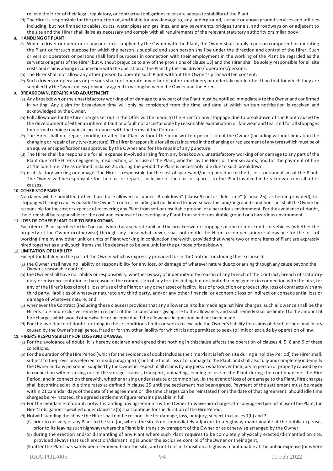relieve the Hirer of their legal, regulatory, or contractual obligationsto ensure adequate stability of the Plant.

(d) The Hirer isresponsible for the protection of, and liable for any damage to, any underground, surface or above ground services and utilities including, but not limited to cables, ducts, water pipes and gaslines, and any pavements, bridges,tunnels, and roadways on or adjacent to the site and the Hirer shall liaise as necessary and comply with all requirements of the relevant statutory authority orsimilar body.

# **8. HANDLING OF PLANT**

- a) When a driver or operator or any person is supplied by the Owner with the Plant, the Owner shall supply a person competent in operating the Plant or forsuch purpose for which the person is supplied and such person shall be under the direction and control of the Hirer. Such drivers or operators or persons shall forall purposes in connection with their employment in the working of the Plant be regarded as the servants or agents of the Hirer (but without prejudice to any of the provisions of clause 13) and the Hirer shall be solely responsible for all site costs and claims arising in connection with the operation of the Plant by the said drivers/ operators/persons.
- (b) The Hirer shall not allow any other person to operate such Plant without the Owner's prior written consent.
- (c) Such drivers or operators or persons shall not operate any other plant or machinery or undertake work other than that for which they are supplied by theOwner unless previously agreed in writing between the Owner and the Hirer.

# **9. BREAKDOWN, REPAIRS AND ADJUSTMENT**

- (a) Any breakdown or the unsatisfactory working of or damage to any part of thePlant must be notified immediately to the Owner and confirmed in writing. Any claim for breakdown time will only be considered from the time and date at which written notification is received and acknowledged by the Owner.
- (b) Full allowance for the hire charges set out in the Offer will be made to the Hirer for any stoppage due to breakdown of the Plant caused by the development ofeither an inherent fault or a fault not ascertainable by reasonable examination or fair wear and tear and for allstoppages for normal running repairs in accordance with the terms of the Contract.
- (c) The Hirer shall not repair, modify, or alter the Plant without the prior written permission of the Owner (including without limitation the changing or repair ofany tyre/puncture). The Hirer is responsible for all costs incurred in the changing or replacement of any tyre (which must be of an equivalent specification) as approved by the Owner and for the repair of any puncture.
- (d) The Hirer shall be responsible for all expense involved arising from any breakdown, unsatisfactory working of or damage to any part of the Plant due tothe Hirer's negligence, misdirection, or misuse of the Plant, whether by the Hirer or their servants, and for the payment of hire at the idle time rate as defined inclause 25, during the period the Plant is necessarily idle due to such breakdown,
- (e) nsatisfactory working or damage. The Hirer is responsible for the cost of sparesand/or repairs due to theft, loss, or vandalism of the Plant. The Owner will beresponsible for the cost of repairs, inclusive of the cost of spares, to the Plantinvolved in breakdown from all other causes.

# **10. OTHER STOPPAGES**

No claims will be admitted (other than those allowed for under "Breakdown" (clause9) or for "Idle Time" (clause 25), as herein provided), for stoppages through causes outside the Owner's control, including but not limited to adverse weather and/or ground conditions nor shall the Owner be responsible for the cost or expense of recovering any Plant from soft or unsuitable ground, or a hazardous environment. For the avoidance of doubt, the Hirer shall be responsible for the cost and expense of recovering any Plant from soft or unsuitable ground or a hazardous environment.

#### **11. LOSS OF OTHER PLANT DUE TO BREAKDOWN**

Each itemof Plantspecified in the Contractis hired as a separate unit and the breakdown or stoppage of one or more units or vehicles (whether the property of the Owner orotherwise) through any cause whatsoever, shall not entitle the Hirer to compensationor allowance for the loss of working time by any other unit or units of Plant working in conjunction therewith, provided that where two or more items of Plant are expressly hired together as a unit, such items shall be deemed to be one unit for the purpose ofbreakdown.

#### **12. LIMITATION OF LIABILITY**

Except for liability on the part of the Owner which is expressly provided for in theContract (including these clauses):

- (a) the Owner shall have no liability or responsibility for any loss, or damage of whatever nature due to or arising through any cause beyond the Owner's reasonable control:
- (b) the Ownershall have no liability orresponsibility, whether by way of indemnityor by reason of any breach of the Contract, breach of statutory duty or misrepresentation or by reason of the commission of any tort (including but notlimited to negligence) in connection with the hire, for any of the Hirer's loss ofprofit, loss of use of the Plant or any other asset or facility, loss of production or productivity, loss of contracts with any third party, liabilities of whatever natureto any third party, and/or any other financial or economic loss or indirect or consequential loss or damage of whatever nature; and
- (c) whenever the Contract (including these clauses) provides that any allowance isto be made against hire charges, such allowance shall be the Hirer's sole and exclusive remedy in respect of the circumstances giving rise to the allowance, and such remedy shall be limited to the amount of hire charges which would otherwise be or become due if the allowance in question had not been made.
- (d) For the avoidance of doubt, nothing in these conditions limits or seeks to exclude the Owner's liability for claims of death or personal injury caused by the Owner's negligence, fraud or for any other liability for which it is not permitted to seek to limit or exclude by operation of law.

#### **13. HIRER'S RESPONSIBILITY FOR LOSS AND DAMAGE**

- (a) For the avoidance of doubt, it is hereby declared and agreed that nothing in thisclause affects the operation of clauses 4, 5, 8 and 9 of these conditions.
- (b) For the duration of the Hire Period (which for the avoidance of doubt includes the time Plant is left on site during a Holiday Period) the Hirer shall, subject to theprovisions referred to in sub paragraph (a) be liable for all loss of or damage to the Plant, and shall also fully and completely indemnify the Owner and any personnel supplied by the Owner in respect of all claims by any person whatsoever for injury to person or property caused by or in connection with or arising out of the storage, transit, transport, unloading, loading or use of the Plant during the continuanceof the Hire Period, and in connection therewith, whether arising under statute orcommon law. In the event of loss of or damage to the Plant, hire charges shall becontinued at idle time rates as defined in clause 25 until the settlement has beenagreed. Payment of the settlement must be made within 21 calendar days of thedate of the agreement or idle time charges can be reinstated from the date of that agreement. Should idle time charges be re-instated, the agreed settlement figureremains payable in full.
- (c) For the avoidance of doubt, notwithstanding any agreement by the Owner to waive hire charges after any agreed periodof useofthe Plant,the Hirer's obligations specified under clause 13(b) shall continue for the duration of the Hire Period.
- (d) Notwithstanding the above the Hirer shall not be responsible for damage, loss, or injury, subject to clauses 1(b) and 7:
	- (i) prior to delivery of any Plant to the site (or, where the site is not immediately adjacent to a highway maintainable at the public expense, prior to its leaving such highway) where the Plant isin transit by transport of the Owner or as otherwise arranged by the Owner,
	- (ii) during the erection and/or dismantling of any Plant where such Plant requires to be completely physically erected/dismantled on site, provided always that such erection/dismantling is under the exclusive control of theOwner or their agent,
	- (iii)after the Plant has safely been removed from the site, and until it is in transit on a highway maintainable at the public expense (or where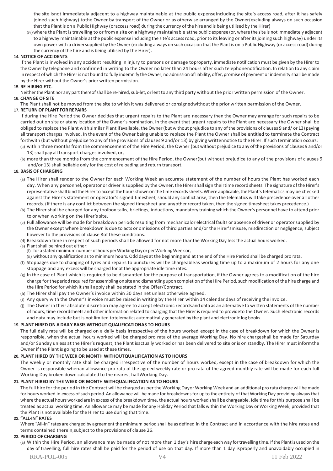the site isnot immediately adjacent to a highway maintainable at the public expenseincluding the site's access road, after it has safely joined such highway) tothe Owner by transport of the Owner or as otherwise arranged by the Owner(excluding always on such occasion that the Plant is on a Public Highway (oraccessroad) during the currency of the hire and is being utilised by the Hirer)

(iv)where the Plant istravelling to or from a site on a highway maintainable atthe public expense (or, where the site is not immediately adjacent to a highway maintainable at the public expense including the site's accessroad, prior to its leaving or after its joining such highway) under its own power with a driversupplied by theOwner(excluding always on such occasion that the Plant is on a Public Highway (or accessroad) during the currency of the hire and is being utilised by the Hirer).

# **14. NOTICE OF ACCIDENTS**

If the Plant is involved in any accident resulting in injury to persons or damage toproperty, immediate notification must be given by the Hirer to the Owner by telephone and confirmed in writing to the Owner no later than 24 hours after such telephonenotification. In relation to any claim in respect of which the Hirer is not bound to fully indemnify the Owner, no admission of liability, offer, promise of payment or indemnity shall be made by the Hirer without the Owner's prior written permission.

#### **15. RE-HIRING ETC.**

Neither the Plant nor any part thereof shall be re-hired, sub-let, or lent to any third party without the prior written permission of the Owner. **16. CHANGE OF SITE**

The Plant shall not be moved from the site to which it was delivered or consignedwithout the prior written permission of the Owner.

# **17. RETURN OF PLANT FOR REPAIRS**

If during the Hire Period the Owner decides that urgent repairs to the Plant are necessary then the Owner may arrange for such repairs to be carried out on site or atany location of the Owner's nomination. In the event that urgent repairs to the Plant are necessary the Owner shall be obliged to replace the Plant with similar Plant ifavailable, the Owner(but without prejudice to any of the provisions of clauses 9 and/ or 13) paying all transport charges involved. In the event of the Owner being unable to replace the Plant the Owner shall be entitled to terminate the Contract forthwith (but without prejudice to any of the provisions of clauses 9 and/or 13) by giving writtennotice to the Hirer. If such termination occurs: (a) within three months from the commencement of the Hire Period, the Owner (but without prejudice to any ofthe provisions of clauses 9 and/or 13) shall pay all transport charges involved, or,

(b) more than three months from the commencement of the Hire Period, the Owner(but without prejudice to any of the provisions of clauses 9 and/or 13) shall beliable only for the cost of reloading and return transport.

#### **18. BASIS OF CHARGING**

- (a) The Hirer shall render to the Owner for each Working Week an accurate statement of the number of hours the Plant has worked each day. When any personnel, operator or driver is supplied by the Owner, the Hirer shall sign theirtime record sheets. The signature of the Hirer's representative shall bind the Hirer to accept the hours shown on the time records sheets. Where applicable, the Plant's telematics may be checked against the Hirer's statement or operator's signed timesheet, should any conflict arise, then the telematics will take precedence over all other records. (If there is any conflict between the signed timesheet and anyother record taken, then the signed timesheet takes precedence.)
- (b) The Hirer shall be charged for any toolbox talks, briefings, inductions, mandatory training which the Owner's personnel have to attend prior to or when working on the Hirer's site.
- (c) Full allowance will be made for breakdown periods resulting from mechanicalor electrical faults or absence of driver or operatorsupplied by the Owner except where breakdown is due to acts or omissions of third parties and/or the Hirer'smisuse, misdirection or negligence, subject however to the provisions of clause 8of these conditions.
- (d) Breakdown time in respect of such periods shall be allowed for not more thanthe Working Day less the actual hours worked.
- (e) Plant shall be hired out either:
- (i) for a stated minimum number of hours per Working Day or per Working Week or,
- (ii) without any qualification asto minimum hours. Odd days at the beginning and at the end of the Hire Period shall be charged pro rata.
- (f) Stoppages due to changing of tyres and repairs to punctures will be chargeableas working time up to a maximum of 2 hours for any one stoppage and any excess will be charged for at the appropriate idle time rates.
- $(q)$  In the case of Plant which is required to be dismantled for the purpose of transportation, if the Owner agrees to a modification of the hire charge for theperiod required for assembling on site and dismantling upon completion oftheHire Period,such modification of the hire charge and the Hire Period for which it shall apply shall be stated in the Offer/Contract.
- (h) The Hirer shall pay the Owner's invoice within 30 days net unless otherwise agreed.
- (i) Any query with the Owner's invoice must be raised in writing by the Hirer within 14 calendar days of receiving the invoice.
- (j) The Owner in their absolute discretion may agree to accept electronic recordsand data as an alternative to written statements of the number of hours, time recordsheets and other information related to charging that the Hirer is required to provideto the Owner. Such electronic records and data may include but is not limited totelematics automatically generated by the plant and electronic log books.

# **19. PLANT HIRED ON A DAILY BASIS WITHOUT QUALIFICATIONAS TO HOURS**

The full daily rate will be charged on a daily basis irrespective of the hours worked except in the case of breakdown for which the Owner is responsible, when the actual hours worked will be charged pro rata of the average Working Day. No hire chargeshall be made for Saturday and/or Sunday unless at the Hirer's request, the Plant isactually worked or has been delivered to site or is on standby. The Hirer must informthe Owner if the Plant is going to be used at these times.

#### **20. PLANT HIRED BY THE WEEK OR MONTH WITHOUTQUALIFICATION AS TO HOURS**

The weekly or monthly rate shall be charged irrespective of the number of hours worked, except in the case of breakdown for which the Owner is responsible whenan allowance pro rata of the agreed weekly rate or pro rata of the agreed monthly rate will be made for each full Working Day broken down calculated to the nearest halfWorking Day.

#### **21. PLANT HIRED BY THE WEEK OR MONTH WITHQUALIFICATION AS TO HOURS**

The full hire forthe period in the Contract will be charged as perthe Working Dayor Working Week and an additional pro rata charge will be made for hours worked in excess of such period. An allowance will be made for breakdowns for up to the entirety of that Working Day providing always that where the actual hours worked are in excess of the breakdown time, the actual hours worked shall be chargeable. Idle time for this purpose shall be treated as actual working time. An allowance may be made for any Holiday Period that falls within the Working Day or Working Week, provided that the Plant is not available for the Hirer to use during that time.

#### **22. "ALL-IN" RATES**

Where "All-In" rates are charged by agreement the minimum period shall be as defined in the Contract and in accordance with the hire rates and terms contained therein,subject to the provisions of clause 26.

#### **23. PERIOD OF CHARGING**

(a) Within the Hire Period, an allowance may be made of not more than 1 day's hire charge eachway fortravelling time. Ifthe Plantisused on the day of travelling, full hire rates shall be paid for the period of use on that day. If more than 1 day isproperly and unavoidably occupied in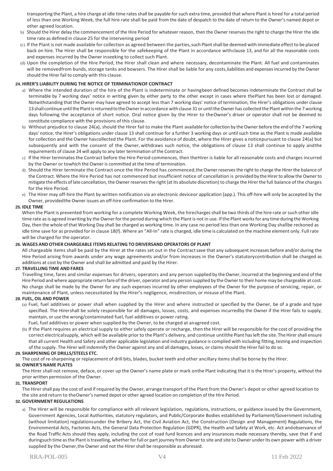transporting the Plant, a hire charge at idle time ratesshall be payable forsuch extra time, provided that where Plant is hired for a total period of less than one Working Week, the full hire rate shall be paid from the date of despatch to the date of return to the Owner's named depot or other agreed location.

- b) Should the Hirer delay the commencement of the Hire Period for whatever reason, then the Owner reserves the right to charge the Hirer the idle time rate as defined in clause 25 for the intervening period
- (c) If the Plant is not made available for collection as agreed between the parties,such Plantshall be deemed with immediate effectto be placed back on hire. The Hirer shall be responsible for the safekeeping of the Plant in accordance withclause 13, and for all the reasonable costs and expenses incurred by the Owner inseeking to collect such Plant.
- (d) Upon the completion of the Hire Period, the Hirer shall clean and where necessary, decontaminate the Plant. All fuel and contaminates will be removedfrom bunds, storage tanks and bowsers. The Hirer shall be liable for any costs,liabilities and expensesincurred by the Owner should the Hirer fail to comply with this clause.

#### **24. HIRER'S LIABILITY DURING THE NOTICE OF TERMINATIONOF CONTRACT**

- a) Where the intended duration of the hire of the Plant is indeterminate or havingbeen defined becomes indeterminate the Contract shall be terminable by 7 working days' notice in writing given by either party to the other except in cases where thePlant has been lost or damaged. Notwithstanding that the Owner may have agreed to accept less than 7 working days' notice of termination, the Hirer's obligations under clause 13 shall continue until the Plant is returned to the Owner in accordance with clause 31 or until the Owner has collected the Plant within the 7 working days following the acceptance of short notice. Oral notice given by the Hirer to theOwner's driver or operator shall not be deemed to constitute compliance with the provisions of this clause.
- b) Without prejudice to clause 24(a), should the Hirer fail to make the Plant available for collection by the Owner before the end of the 7 working days' notice, the Hirer's obligations under clause 13 shall continue for a further 3 working days or until such time as the Plant is made available for collection and the Owner hascollected the Plant. For the avoidance of doubt, where the Hirer gives a noticepursuant to clause 24(a) but subsequently and with the consent of the Owner, withdraws such notice, the obligations of clause 13 shall continue to apply andthe requirements of clause 24 will apply to any later termination of the Contract.
- c) If the Hirer terminates the Contract before the Hire Period commences, then theHirer is liable for all reasonable costs and charges incurred by the Owner or towhich the Owner is committed at the time of termination.
- d) Should the Hirer terminate the Contract once the Hire Period has commenced,the Owner reservesthe right to charge the Hirer the balance of the Contract. Where the Hire Period has not commenced but insufficient notice of cancellation is provided by the Hirer to allow the Owner to mitigate the effects oflate cancellation, the Ownerreservesthe right (at its absolute discretion) to charge the Hirerthe full balance of the charges for the Hire Period.
- e) The Hirer may off-hire the Plant by written notification via an electronic deviceor application (app.). This off-hire will only be accepted by the Owner, providedthe Owner issues an off-hire confirmation to the Hirer.

#### **25. IDLE TIME**

When the Plant is prevented from working for a complete Working Week, the hirecharges shall be two thirds of the hire rate or such other idle time rate as is agreed inwriting by the Owner for the period during which the Plant is not in use. If the Plant works for any time during the Working Day, then the whole of that Working Day shall be charged as working time. In any case no period lessthan one Working Day shallbe reckoned as idle time save for as provided for in clause 18(f). Where an "All-In" rate is charged, idle time is calculated on the machine element only. Full rate will be charged for the operator.

# **26. WAGES AND OTHER CHARGEABLE ITEMS RELATING TO DRIVERSAND OPERATORS OF PLANT**

All chargeable items shall be paid by the Hirer at the rates set out in the Contractsave that any subsequent increases before and/or during the Hire Period arising from awards under any wage agreements and/or from increases in the Owner's statutorycontribution shall be charged as additions at cost by the Owner and shall be admitted and paid by the Hirer.

#### **27. TRAVELLING TIME AND FARES**

Travelling time, fares and similar expenses for drivers, operators and any person supplied by the Owner, incurred at the beginning and end of the Hire Period and where appropriate return fare ofthe driver, operator and any person supplied by the Owner to their home may be chargeable at cost. No charge shall be made by the Owner for any such expenses incurred by other employees of the Owner for the purpose of servicing, repair, or maintenance of Plant, unless necessitated by the Hirer's negligence, misdirection, or misuse of the Plant.

#### **28. FUEL, OIL AND POWER**

- (a) Fuel, fuel additives or power shall when supplied by the Hirer and where instructed or specified by the Owner, be of a grade and type specified. The Hirershall be solely responsible for all damages, losses, costs, and expenses incurredby the Owner if the Hirer fails to supply, maintain, or use the wrong/contaminated fuel, fuel additives or power rating.
- Fuel, fuel additives or power when supplied by the Owner, to be charged at anagreed cost.
- (b) If the Plant requires an electrical supply to either safely operate or recharge, then the Hirer will be responsible for the cost of providing the correct electricalsupply, which will be available prior to the Plant's delivery, and continue untilthe Plant hasleft the site. The Hirershall ensure that all current Health and Safety and other applicable legislation and industry guidance is complied with including fitting, testing and inspection of the supply. The Hirer will indemnify the Owner against any and all damages, losses, or claimsshould the Hirer fail to do so.

#### **29. SHARPENING OF DRILLS/STEELS ETC.**

The cost of re-sharpening or replacement of drill bits, blades, bucket teeth and other ancillary items shall be borne by the Hirer.

# **30. OWNER'SNAME PLATES**

The Hirer shall not remove, deface, or cover up the Owner's name plate or mark onthe Plant indicating that it is the Hirer's property, without the prior written permission of the Owner.

#### **31. TRANSPORT**

The Hirer shall pay the cost of and if required by the Owner, arrange transport of the Plant from the Owner's depot or other agreed location to the site and return to theOwner's named depot or other agreed location on completion of the Hire Period.

#### **32. GOVERNMENT REGULATIONS**

a) The Hirer will be responsible for compliance with all relevant legislation, regulations, instructions, or guidance issued by the Government, Government Agencies, Local Authorities, statutory regulators, and Public/Corporate Bodies established by Parliament/Government including (without limitation) regulationsunder the Bribery Act, the Civil Aviation Act, the Construction (Design and Management) Regulations, the Environmental Acts, Factories Acts, the General Data Protection Regulation (GDPR), the Health and Safety at Work, etc. Act andobservance of the Road Traffic Acts should they apply, including the cost of road fund licences and any insurances made necessary thereby, save that if and duringsuch time asthe Plantistravelling, whetherforfull or part journey from Ownerto site and site to Owner underits own power with a driver supplied by the Owner,the Owner and not the Hirer shall be responsible as aforesaid.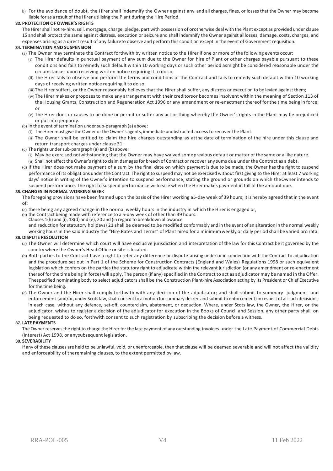b) For the avoidance of doubt, the Hirer shall indemnify the Owner against any and all charges, fines, or losses that the Owner may become liable for as a result of the Hirer utilising the Plant during the Hire Period.

# **33. PROTECTION OF OWNER'S RIGHTS**

The Hirer shall not re-hire, sell, mortgage, charge, pledge, part with possession of orotherwise deal with the Plant except as provided under clause 15 and shall protect the same against distress, execution or seizure and shall indemnify the Owner against alllosses, damage, costs, charges, and expenses arising as a direct result of any failureto observe and perform this condition except in the event of Government requisition.

#### **34. TERMINATION AND SUSPENSION**

- (a) The Owner may terminate the Contract forthwith by written notice to the Hirer if one or more of the following events occur:
	- (i) The Hirer defaults in punctual payment of any sum due to the Owner for hire of Plant or other charges payable pursuant to these conditions and fails to remedy such default within 10 working days or such other period asmight be considered reasonable under the circumstances upon receiving written notice requiring it to do so;
	- (ii) The Hirer fails to observe and perform the terms and conditions of the Contract and fails to remedy such default within 10 working days of receiving written notice requiring it to do so;
	- (iii) The Hirer suffers, or the Owner reasonably believes that the Hirer shall suffer, any distress or execution to be levied against them;
	- (iv)The Hirer makes or proposesto make any arrangement with their creditorsor becomes insolvent within the meaning of Section 113 of the Housing Grants, Construction and Regeneration Act 1996 or any amendment or re-enactment thereof for the time being in force; or
	- (v) The Hirer does or causes to be done or permit or suffer any act or thing whereby the Owner's rights in the Plant may be prejudiced or put into jeopardy.
- (b) In the event of termination under sub-paragraph (a) above:
	- (i) The Hirer must give theOwner orthe Owner's agents, immediate unobstructed access to recover the Plant.
	- (ii) The Owner shall be entitled to claim the hire charges outstanding as atthe date of termination of the hire under this clause and return transport charges under clause 31.
- $(c)$  The rights under sub-paragraph (a) and (b) above:
	- (i) May be exercised notwithstanding that the Owner may have waived someprevious default or matter of the same or a like nature.
	- (ii) Shall not affect the Owner'sright to claim damagesfor breach of Contract or recover any sums due under the Contract as a debt.
- (d) If the Hirer does not make payment of a sum by the final date on which payment is due to be made, the Owner has the right to suspend performance of its obligations under the Contract. The right to suspend may not be exercised without first giving to the Hirer at least 7 working days' notice in writing of the Owner's intention to suspend performance, stating the ground or grounds on which theOwner intends to suspend performance. The right to suspend performance willcease when the Hirer makes payment in full of the amount due.

#### **35. CHANGES IN NORMAL WORKING WEEK**

The foregoing provisions have been framed upon the basis of the Hirer working a5-day week of 39 hours; it is hereby agreed that in the event of:

(a) there being any agreed change in the normal weekly hours in the industry in which the Hirer is engaged or,

- (b) the Contract being made with reference to a 5-day week of other than 39 hours.
- Clauses  $1(h)$  and (i),  $18(d)$  and (e), 20 and (in regard to breakdown allowance

and reduction for statutory holidays) 21 shall be deemed to be modified conformably and in the event of an alteration in the normal weekly working hours in the said industry the "Hire Rates and Terms" of Plant hired for a minimumweekly or daily period shall be varied pro rata.

# **36. DISPUTE RESOLUTION**

- (a) The Owner will determine which court will have exclusive jurisdiction and interpretation of the law for this Contract be it governed by the country where the Owner's Head Office or site islocated.
- (b) Both parties to the Contract have a right to refer any difference or dispute arising under or in connection with the Contract to adjudication and the procedure set out in Part 1 of the Scheme for Construction Contracts (England and Wales) Regulations 1998 or such equivalent legislation which confers on the parties the statutory right to adjudicate within the relevant jurisdiction (or any amendment or re-enactment thereof forthe time being in force) will apply. The person (if any) specified in the Contract to act as adjudicator may be named in the Offer. Thespecified nominating body to select adjudicators shall be the Construction Plant-hire Association acting by its President or Chief Executive for the time being.
- (c) The Owner and the Hirer shall comply forthwith with any decision of the adjudicator; and shall submit to summary judgment and enforcement (and/or, under Scots law, shall consent to a motion for summary decree and submit to enforcement) in respect of all such decisions; in each case, without any defence, set-off, counterclaim, abatement, or deduction. Where, under Scots law, the Owner, the Hirer, or the adjudicator, wishes to register a decision of the adjudicator for execution in the Books of Council and Session, any other party shall, on being requested to do so, forthwith consent to such registration by subscribing the decision before a witness.

#### **37. LATE PAYMENTS**

The Owner reservesthe right to charge the Hirer for the late payment of any outstanding invoices under the Late Payment of Commercial Debts (Interest) Act 1998, or anysubsequent legislation.

## **38. SEVERABILITY**

If any of these clauses are held to be unlawful, void, or unenforceable, then that clause will be deemed severable and will not affect the validity and enforceability of theremaining clauses, to the extent permitted by law.